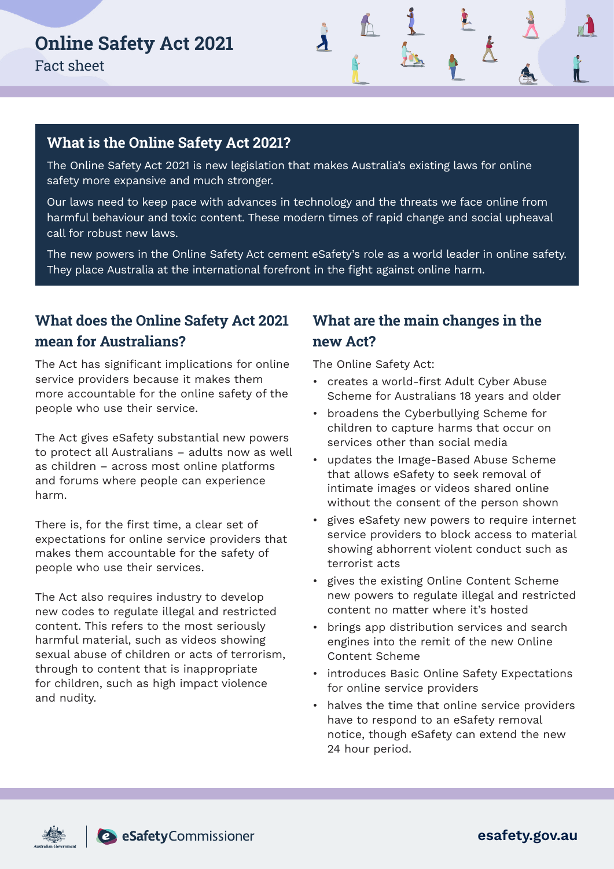

#### **What is the Online Safety Act 2021?**

The Online Safety Act 2021 is new legislation that makes Australia's existing laws for online safety more expansive and much stronger.

Our laws need to keep pace with advances in technology and the threats we face online from harmful behaviour and toxic content. These modern times of rapid change and social upheaval call for robust new laws.

The new powers in the Online Safety Act cement eSafety's role as a world leader in online safety. They place Australia at the international forefront in the fight against online harm.

## **What does the Online Safety Act 2021 mean for Australians?**

The Act has significant implications for online service providers because it makes them more accountable for the online safety of the people who use their service.

The Act gives eSafety substantial new powers to protect all Australians – adults now as well as children – across most online platforms and forums where people can experience harm.

There is, for the first time, a clear set of expectations for online service providers that makes them accountable for the safety of people who use their services.

The Act also requires industry to develop new codes to regulate illegal and restricted content. This refers to the most seriously harmful material, such as videos showing sexual abuse of children or acts of terrorism, through to content that is inappropriate for children, such as high impact violence and nudity.

### **What are the main changes in the new Act?**

The Online Safety Act:

- creates a world-first Adult Cyber Abuse Scheme for Australians 18 years and older
- broadens the Cyberbullying Scheme for children to capture harms that occur on services other than social media
- updates the Image-Based Abuse Scheme that allows eSafety to seek removal of intimate images or videos shared online without the consent of the person shown
- gives eSafety new powers to require internet service providers to block access to material showing abhorrent violent conduct such as terrorist acts
- gives the existing Online Content Scheme new powers to regulate illegal and restricted content no matter where it's hosted
- brings app distribution services and search engines into the remit of the new Online Content Scheme
- introduces Basic Online Safety Expectations for online service providers
- halves the time that online service providers have to respond to an eSafety removal notice, though eSafety can extend the new 24 hour period.





esafety.gov.au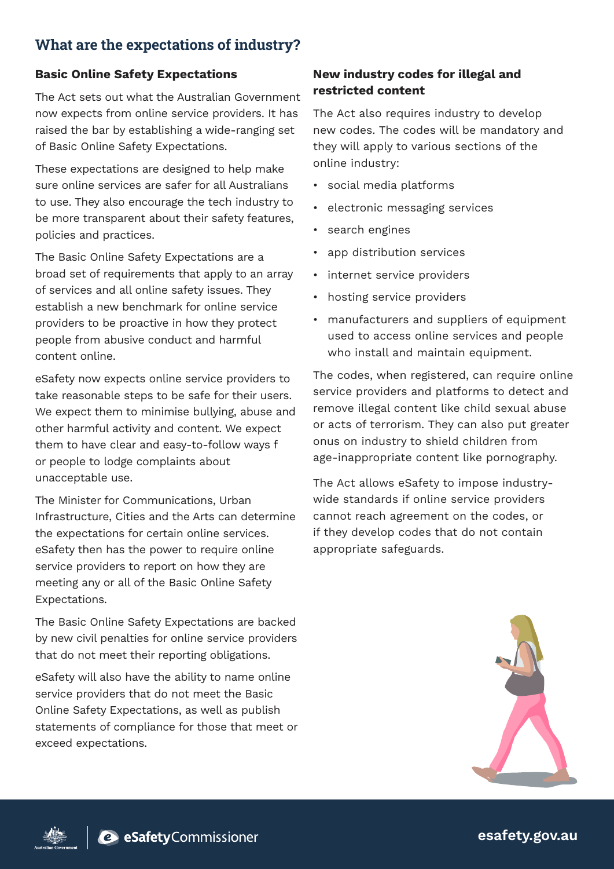## **What are the expectations of industry?**

#### Basic Online Safety Expectations

The Act sets out what the Australian Government now expects from online service providers. It has raised the bar by establishing a wide-ranging set of Basic Online Safety Expectations.

These expectations are designed to help make sure online services are safer for all Australians to use. They also encourage the tech industry to be more transparent about their safety features, policies and practices.

The Basic Online Safety Expectations are a broad set of requirements that apply to an array of services and all online safety issues. They establish a new benchmark for online service providers to be proactive in how they protect people from abusive conduct and harmful content online.

eSafety now expects online service providers to take reasonable steps to be safe for their users. We expect them to minimise bullying, abuse and other harmful activity and content. We expect them to have clear and easy-to-follow ways f or people to lodge complaints about unacceptable use.

The Minister for Communications, Urban Infrastructure, Cities and the Arts can determine the expectations for certain online services. eSafety then has the power to require online service providers to report on how they are meeting any or all of the Basic Online Safety Expectations.

The Basic Online Safety Expectations are backed by new civil penalties for online service providers that do not meet their reporting obligations.

eSafety will also have the ability to name online service providers that do not meet the Basic Online Safety Expectations, as well as publish statements of compliance for those that meet or exceed expectations.

#### New industry codes for illegal and restricted content

The Act also requires industry to develop new codes. The codes will be mandatory and they will apply to various sections of the online industry:

- social media platforms
- electronic messaging services
- search engines
- app distribution services
- internet service providers
- hosting service providers
- manufacturers and suppliers of equipment used to access online services and people who install and maintain equipment.

The codes, when registered, can require online service providers and platforms to detect and remove illegal content like child sexual abuse or acts of terrorism. They can also put greater onus on industry to shield children from age-inappropriate content like pornography.

The Act allows eSafety to impose industrywide standards if online service providers cannot reach agreement on the codes, or if they develop codes that do not contain appropriate safeguards.





esafety.gov.au